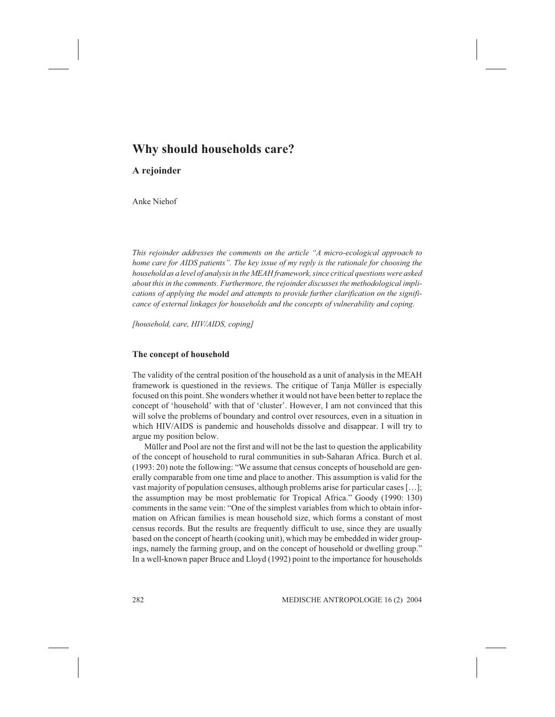# Why should households care?

A rejoinder

Anke Niehof

This rejoinder addresses the comments on the article "A micro-ecological approach to home care for AIDS patients". The key issue of my reply is the rationale for choosing the household as a level of analysis in the MEAH framework, since critical questions were asked about this in the comments. Furthermore, the rejoinder discusses the methodological implications of applying the model and attempts to provide further clarification on the significance of external linkages for households and the concepts of vulnerability and coping.

[household, care, HIV/AIDS, coping]

### The concept of household

The validity of the central position of the household as a unit of analysis in the MEAH framework is questioned in the reviews. The critique of Tanja Müller is especially focused on this point. She wonders whether it would not have been better to replace the concept of 'household' with that of 'cluster'. However, I am not convinced that this will solve the problems of boundary and control over resources, even in a situation in which HIV/AIDS is pandemic and households dissolve and disappear. I will try to argue my position below.

Müller and Pool are not the first and will not be the last to question the applicability of the concept of household to rural communities in sub-Saharan Africa. Burch et al. (1993: 20) note the following: "We assume that census concepts of household are generally comparable from one time and place to another. This assumption is valid for the vast majority of population censuses, although problems arise for particular cases […]; the assumption may be most problematic for Tropical Africa." Goody (1990: 130) comments in the same vein: "One of the simplest variables from which to obtain information on African families is mean household size, which forms a constant of most census records. But the results are frequently difficult to use, since they are usually based on the concept of hearth (cooking unit), which may be embedded in wider groupings, namely the farming group, and on the concept of household or dwelling group." In a well-known paper Bruce and Lloyd (1992) point to the importance for households

282 MEDISCHE ANTROPOLOGIE 16 (2) 2004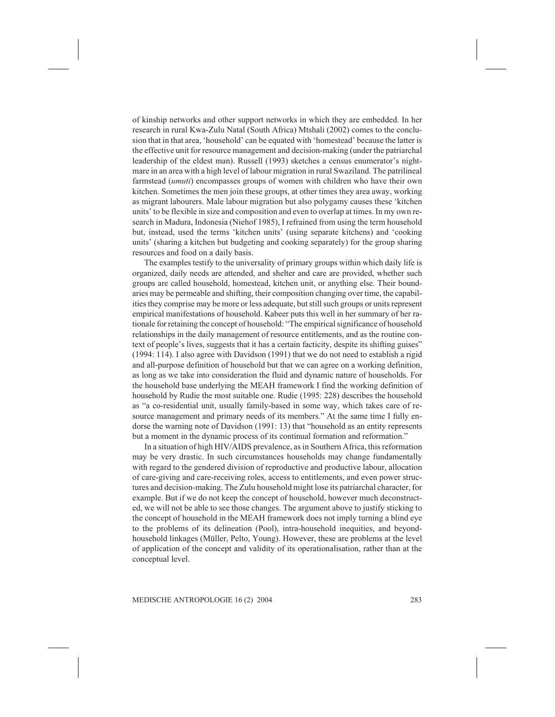of kinship networks and other support networks in which they are embedded. In her research in rural Kwa-Zulu Natal (South Africa) Mtshali (2002) comes to the conclusion that in that area, 'household' can be equated with 'homestead' because the latter is the effective unit for resource management and decision-making (under the patriarchal leadership of the eldest man). Russell (1993) sketches a census enumerator's nightmare in an area with a high level of labour migration in rural Swaziland. The patrilineal farmstead (umuti) encompasses groups of women with children who have their own kitchen. Sometimes the men join these groups, at other times they area away, working as migrant labourers. Male labour migration but also polygamy causes these 'kitchen units' to be flexible in size and composition and even to overlap at times. In my own research in Madura, Indonesia (Niehof 1985), I refrained from using the term household but, instead, used the terms 'kitchen units' (using separate kitchens) and 'cooking units' (sharing a kitchen but budgeting and cooking separately) for the group sharing resources and food on a daily basis.

The examples testify to the universality of primary groups within which daily life is organized, daily needs are attended, and shelter and care are provided, whether such groups are called household, homestead, kitchen unit, or anything else. Their boundaries may be permeable and shifting, their composition changing over time, the capabilities they comprise may be more or less adequate, but still such groups or units represent empirical manifestations of household. Kabeer puts this well in her summary of her rationale for retaining the concept of household: "The empirical significance of household relationships in the daily management of resource entitlements, and as the routine context of people's lives, suggests that it has a certain facticity, despite its shifting guises" (1994: 114). I also agree with Davidson (1991) that we do not need to establish a rigid and all-purpose definition of household but that we can agree on a working definition, as long as we take into consideration the fluid and dynamic nature of households. For the household base underlying the MEAH framework I find the working definition of household by Rudie the most suitable one. Rudie (1995: 228) describes the household as "a co-residential unit, usually family-based in some way, which takes care of resource management and primary needs of its members." At the same time I fully endorse the warning note of Davidson (1991: 13) that "household as an entity represents but a moment in the dynamic process of its continual formation and reformation."

In a situation of high HIV/AIDS prevalence, as in Southern Africa, this reformation may be very drastic. In such circumstances households may change fundamentally with regard to the gendered division of reproductive and productive labour, allocation of care-giving and care-receiving roles, access to entitlements, and even power structures and decision-making. The Zulu household might lose its patriarchal character, for example. But if we do not keep the concept of household, however much deconstructed, we will not be able to see those changes. The argument above to justify sticking to the concept of household in the MEAH framework does not imply turning a blind eye to the problems of its delineation (Pool), intra-household inequities, and beyondhousehold linkages (Müller, Pelto, Young). However, these are problems at the level of application of the concept and validity of its operationalisation, rather than at the conceptual level.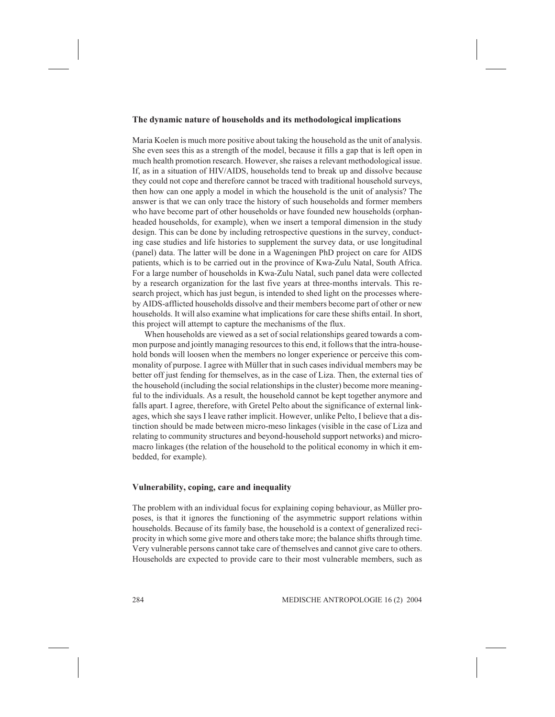### The dynamic nature of households and its methodological implications

Maria Koelen is much more positive about taking the household as the unit of analysis. She even sees this as a strength of the model, because it fills a gap that is left open in much health promotion research. However, she raises a relevant methodological issue. If, as in a situation of HIV/AIDS, households tend to break up and dissolve because they could not cope and therefore cannot be traced with traditional household surveys, then how can one apply a model in which the household is the unit of analysis? The answer is that we can only trace the history of such households and former members who have become part of other households or have founded new households (orphanheaded households, for example), when we insert a temporal dimension in the study design. This can be done by including retrospective questions in the survey, conducting case studies and life histories to supplement the survey data, or use longitudinal (panel) data. The latter will be done in a Wageningen PhD project on care for AIDS patients, which is to be carried out in the province of Kwa-Zulu Natal, South Africa. For a large number of households in Kwa-Zulu Natal, such panel data were collected by a research organization for the last five years at three-months intervals. This research project, which has just begun, is intended to shed light on the processes whereby AIDS-afflicted households dissolve and their members become part of other or new households. It will also examine what implications for care these shifts entail. In short, this project will attempt to capture the mechanisms of the flux.

When households are viewed as a set of social relationships geared towards a common purpose and jointly managing resources to this end, it follows that the intra-household bonds will loosen when the members no longer experience or perceive this commonality of purpose. I agree with Müller that in such cases individual members may be better off just fending for themselves, as in the case of Liza. Then, the external ties of the household (including the social relationships in the cluster) become more meaningful to the individuals. As a result, the household cannot be kept together anymore and falls apart. I agree, therefore, with Gretel Pelto about the significance of external linkages, which she says I leave rather implicit. However, unlike Pelto, I believe that a distinction should be made between micro-meso linkages (visible in the case of Liza and relating to community structures and beyond-household support networks) and micromacro linkages (the relation of the household to the political economy in which it embedded, for example).

# Vulnerability, coping, care and inequality

The problem with an individual focus for explaining coping behaviour, as Müller proposes, is that it ignores the functioning of the asymmetric support relations within households. Because of its family base, the household is a context of generalized reciprocity in which some give more and others take more; the balance shifts through time. Very vulnerable persons cannot take care of themselves and cannot give care to others. Households are expected to provide care to their most vulnerable members, such as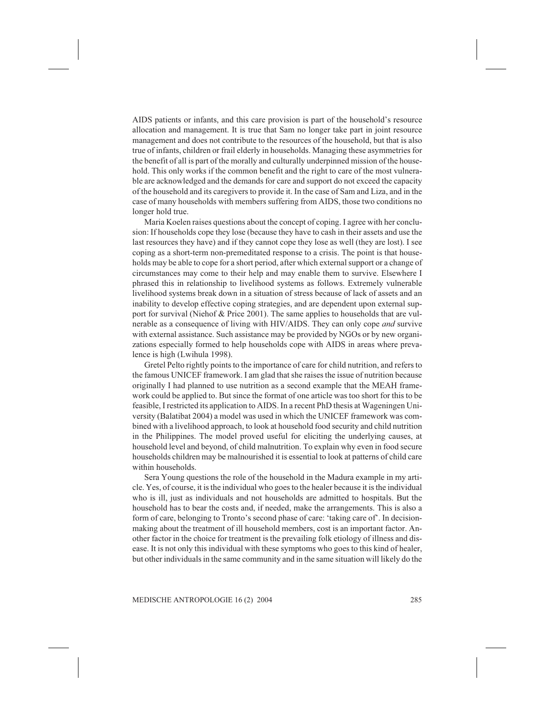AIDS patients or infants, and this care provision is part of the household's resource allocation and management. It is true that Sam no longer take part in joint resource management and does not contribute to the resources of the household, but that is also true of infants, children or frail elderly in households. Managing these asymmetries for the benefit of all is part of the morally and culturally underpinned mission of the household. This only works if the common benefit and the right to care of the most vulnerable are acknowledged and the demands for care and support do not exceed the capacity of the household and its caregivers to provide it. In the case of Sam and Liza, and in the case of many households with members suffering from AIDS, those two conditions no longer hold true.

Maria Koelen raises questions about the concept of coping. I agree with her conclusion: If households cope they lose (because they have to cash in their assets and use the last resources they have) and if they cannot cope they lose as well (they are lost). I see coping as a short-term non-premeditated response to a crisis. The point is that households may be able to cope for a short period, after which external support or a change of circumstances may come to their help and may enable them to survive. Elsewhere I phrased this in relationship to livelihood systems as follows. Extremely vulnerable livelihood systems break down in a situation of stress because of lack of assets and an inability to develop effective coping strategies, and are dependent upon external support for survival (Niehof & Price 2001). The same applies to households that are vulnerable as a consequence of living with HIV/AIDS. They can only cope and survive with external assistance. Such assistance may be provided by NGOs or by new organizations especially formed to help households cope with AIDS in areas where prevalence is high (Lwihula 1998).

Gretel Pelto rightly points to the importance of care for child nutrition, and refers to the famous UNICEF framework. I am glad that she raises the issue of nutrition because originally I had planned to use nutrition as a second example that the MEAH framework could be applied to. But since the format of one article was too short for this to be feasible, I restricted its application to AIDS. In a recent PhD thesis at Wageningen University (Balatibat 2004) a model was used in which the UNICEF framework was combined with a livelihood approach, to look at household food security and child nutrition in the Philippines. The model proved useful for eliciting the underlying causes, at household level and beyond, of child malnutrition. To explain why even in food secure households children may be malnourished it is essential to look at patterns of child care within households.

Sera Young questions the role of the household in the Madura example in my article. Yes, of course, it is the individual who goes to the healer because it is the individual who is ill, just as individuals and not households are admitted to hospitals. But the household has to bear the costs and, if needed, make the arrangements. This is also a form of care, belonging to Tronto's second phase of care: 'taking care of'. In decisionmaking about the treatment of ill household members, cost is an important factor. Another factor in the choice for treatment is the prevailing folk etiology of illness and disease. It is not only this individual with these symptoms who goes to this kind of healer, but other individuals in the same community and in the same situation will likely do the

MEDISCHE ANTROPOLOGIE 16 (2) 2004 285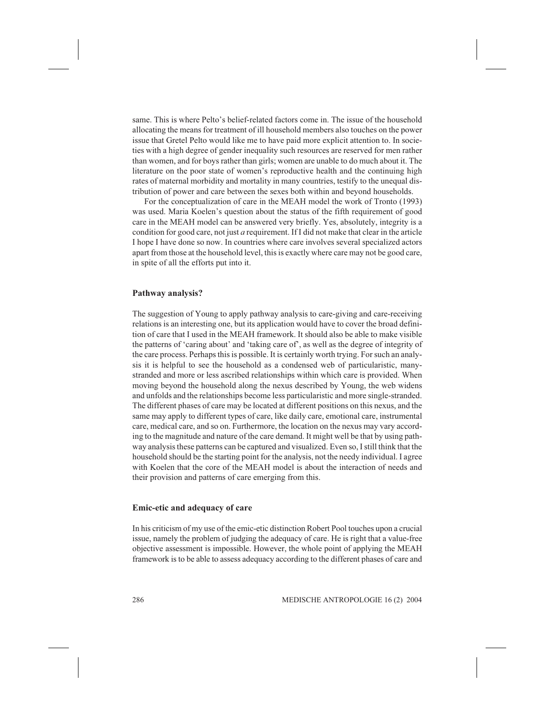same. This is where Pelto's belief-related factors come in. The issue of the household allocating the means for treatment of ill household members also touches on the power issue that Gretel Pelto would like me to have paid more explicit attention to. In societies with a high degree of gender inequality such resources are reserved for men rather than women, and for boys rather than girls; women are unable to do much about it. The literature on the poor state of women's reproductive health and the continuing high rates of maternal morbidity and mortality in many countries, testify to the unequal distribution of power and care between the sexes both within and beyond households.

For the conceptualization of care in the MEAH model the work of Tronto (1993) was used. Maria Koelen's question about the status of the fifth requirement of good care in the MEAH model can be answered very briefly. Yes, absolutely, integrity is a condition for good care, not just a requirement. If I did not make that clear in the article I hope I have done so now. In countries where care involves several specialized actors apart from those at the household level, this is exactly where care may not be good care, in spite of all the efforts put into it.

### Pathway analysis?

The suggestion of Young to apply pathway analysis to care-giving and care-receiving relations is an interesting one, but its application would have to cover the broad definition of care that I used in the MEAH framework. It should also be able to make visible the patterns of 'caring about' and 'taking care of', as well as the degree of integrity of the care process. Perhaps this is possible. It is certainly worth trying. For such an analysis it is helpful to see the household as a condensed web of particularistic, manystranded and more or less ascribed relationships within which care is provided. When moving beyond the household along the nexus described by Young, the web widens and unfolds and the relationships become less particularistic and more single-stranded. The different phases of care may be located at different positions on this nexus, and the same may apply to different types of care, like daily care, emotional care, instrumental care, medical care, and so on. Furthermore, the location on the nexus may vary according to the magnitude and nature of the care demand. It might well be that by using pathway analysis these patterns can be captured and visualized. Even so, I still think that the household should be the starting point for the analysis, not the needy individual. I agree with Koelen that the core of the MEAH model is about the interaction of needs and their provision and patterns of care emerging from this.

#### Emic-etic and adequacy of care

In his criticism of my use of the emic-etic distinction Robert Pool touches upon a crucial issue, namely the problem of judging the adequacy of care. He is right that a value-free objective assessment is impossible. However, the whole point of applying the MEAH framework is to be able to assess adequacy according to the different phases of care and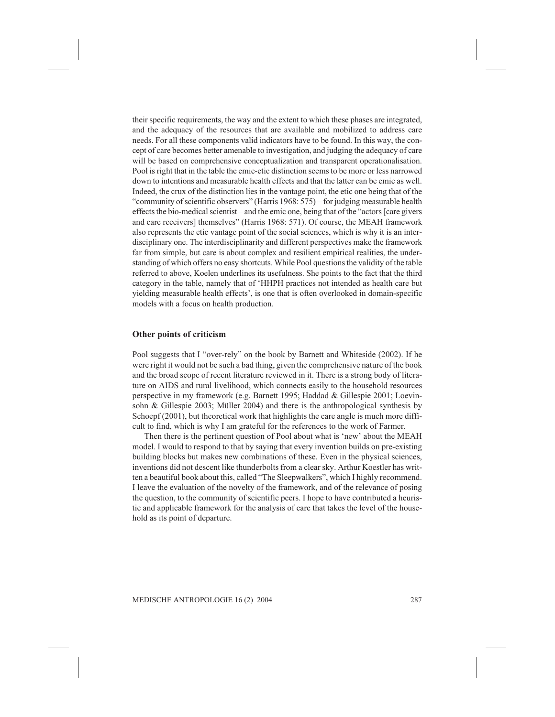their specific requirements, the way and the extent to which these phases are integrated, and the adequacy of the resources that are available and mobilized to address care needs. For all these components valid indicators have to be found. In this way, the concept of care becomes better amenable to investigation, and judging the adequacy of care will be based on comprehensive conceptualization and transparent operationalisation. Pool is right that in the table the emic-etic distinction seems to be more or less narrowed down to intentions and measurable health effects and that the latter can be emic as well. Indeed, the crux of the distinction lies in the vantage point, the etic one being that of the "community of scientific observers" (Harris 1968: 575) – for judging measurable health effects the bio-medical scientist – and the emic one, being that of the "actors [care givers and care receivers] themselves" (Harris 1968: 571). Of course, the MEAH framework also represents the etic vantage point of the social sciences, which is why it is an interdisciplinary one. The interdisciplinarity and different perspectives make the framework far from simple, but care is about complex and resilient empirical realities, the understanding of which offers no easy shortcuts. While Pool questions the validity of the table referred to above, Koelen underlines its usefulness. She points to the fact that the third category in the table, namely that of 'HHPH practices not intended as health care but yielding measurable health effects', is one that is often overlooked in domain-specific models with a focus on health production.

### Other points of criticism

Pool suggests that I "over-rely" on the book by Barnett and Whiteside (2002). If he were right it would not be such a bad thing, given the comprehensive nature of the book and the broad scope of recent literature reviewed in it. There is a strong body of literature on AIDS and rural livelihood, which connects easily to the household resources perspective in my framework (e.g. Barnett 1995; Haddad & Gillespie 2001; Loevinsohn & Gillespie 2003; Müller 2004) and there is the anthropological synthesis by Schoepf (2001), but theoretical work that highlights the care angle is much more difficult to find, which is why I am grateful for the references to the work of Farmer.

Then there is the pertinent question of Pool about what is 'new' about the MEAH model. I would to respond to that by saying that every invention builds on pre-existing building blocks but makes new combinations of these. Even in the physical sciences, inventions did not descent like thunderbolts from a clear sky. Arthur Koestler has written a beautiful book about this, called "The Sleepwalkers", which I highly recommend. I leave the evaluation of the novelty of the framework, and of the relevance of posing the question, to the community of scientific peers. I hope to have contributed a heuristic and applicable framework for the analysis of care that takes the level of the household as its point of departure.

MEDISCHE ANTROPOLOGIE 16 (2) 2004 287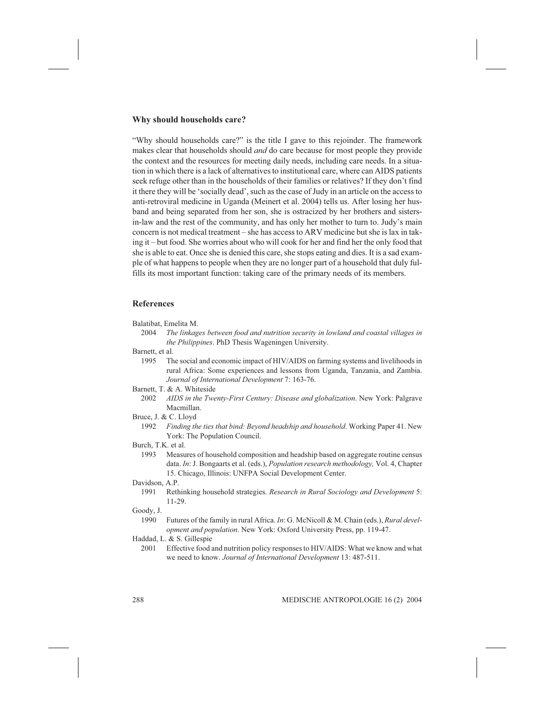## Why should households care?

"Why should households care?" is the title I gave to this rejoinder. The framework makes clear that households should *and* do care because for most people they provide the context and the resources for meeting daily needs, including care needs. In a situation in which there is a lack of alternatives to institutional care, where can AIDS patients seek refuge other than in the households of their families or relatives? If they don't find it there they will be 'socially dead', such as the case of Judy in an article on the access to anti-retroviral medicine in Uganda (Meinert et al. 2004) tells us. After losing her husband and being separated from her son, she is ostracized by her brothers and sistersin-law and the rest of the community, and has only her mother to turn to. Judy's main concern is not medical treatment – she has access to ARV medicine but she is lax in taking it – but food. She worries about who will cook for her and find her the only food that she is able to eat. Once she is denied this care, she stops eating and dies. It is a sad example of what happens to people when they are no longer part of a household that duly fulfills its most important function: taking care of the primary needs of its members.

### **References**

Balatibat, Emelita M.

- 2004 The linkages between food and nutrition security in lowland and coastal villages in the Philippines. PhD Thesis Wageningen University.
- Barnett, et al.
	- 1995 The social and economic impact of HIV/AIDS on farming systems and livelihoods in rural Africa: Some experiences and lessons from Uganda, Tanzania, and Zambia. Journal of International Development 7: 163-76.
- Barnett, T. & A. Whiteside
	- 2002 AIDS in the Twenty-First Century: Disease and globalization. New York: Palgrave Macmillan.
- Bruce, J. & C. Lloyd
	- 1992 Finding the ties that bind: Beyond headship and household. Working Paper 41. New York: The Population Council.
- Burch, T.K. et al.
	- 1993 Measures of household composition and headship based on aggregate routine census data. In: J. Bongaarts et al. (eds.), Population research methodology, Vol. 4, Chapter 15. Chicago, Illinois: UNFPA Social Development Center.
- Davidson, A.P.
	- 1991 Rethinking household strategies. Research in Rural Sociology and Development 5: 11-29.

Goody, J.

- 1990 Futures of the family in rural Africa. In: G. McNicoll & M. Chain (eds.), Rural development and population. New York: Oxford University Press, pp. 119-47.
- Haddad, L. & S. Gillespie
	- 2001 Effective food and nutrition policy responses to HIV/AIDS: What we know and what we need to know. Journal of International Development 13: 487-511.